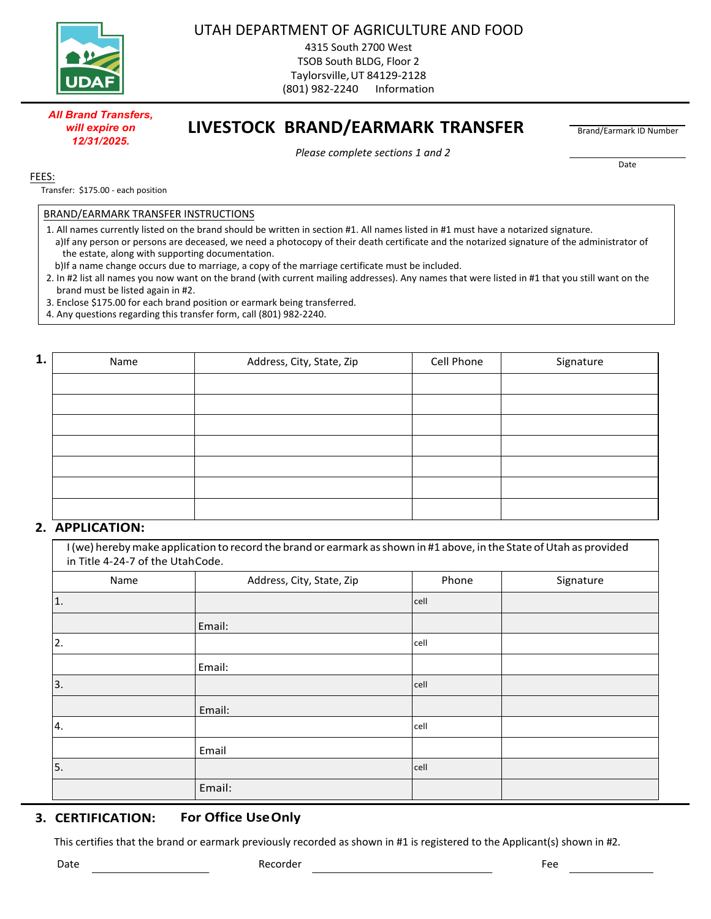

UTAH DEPARTMENT OF AGRICULTURE AND FOOD

4315 South 2700 West TSOB South BLDG, Floor 2 Taylorsville, UT 84129-2128 (801) 982-2240 Information

## **LIVESTOCK BRAND/EARMARK TRANSFER**

Brand/Earmark ID Number

*Please complete sections 1 and 2* 

Date

FEES:

Transfer: \$175.00 - each position

*All Brand Transfers, will expire on 12/31/2025.*

## BRAND/EARMARK TRANSFER INSTRUCTIONS

- 1. All names currently listed on the brand should be written in section #1. All names listed in #1 must have a notarized signature. a)If any person or persons are deceased, we need a photocopy of their death certificate and the notarized signature of the administrator of the estate, along with supporting documentation.
- b)If a name change occurs due to marriage, a copy of the marriage certificate must be included.

2. In #2 list all names you now want on the brand (with current mailing addresses). Any names that were listed in #1 that you still want on the brand must be listed again in #2.

- 3. Enclose \$175.00 for each brand position or earmark being transferred.
- 4. Any questions regarding this transfer form, call (801) 982-2240.

| 1. | Name | Address, City, State, Zip | Cell Phone | Signature |
|----|------|---------------------------|------------|-----------|
|    |      |                           |            |           |
|    |      |                           |            |           |
|    |      |                           |            |           |
|    |      |                           |            |           |
|    |      |                           |            |           |
|    |      |                           |            |           |
|    |      |                           |            |           |

## **2. APPLICATION:**

I (we) hereby make application to record the brand or earmark as shown in #1 above, in the State of Utah as provided in Title 4‐24‐7 of the Utah Code.

| Name | Address, City, State, Zip | Phone | Signature |
|------|---------------------------|-------|-----------|
| 1.   |                           | cell  |           |
|      | Email:                    |       |           |
| 2.   |                           | cell  |           |
|      | Email:                    |       |           |
| 3.   |                           | cell  |           |
|      | Email:                    |       |           |
| 4.   |                           | cell  |           |
|      | Email                     |       |           |
| 5.   |                           | cell  |           |
|      | Email:                    |       |           |

## **3. CERTIFICATION: For Office Use Only**

This certifies that the brand or earmark previously recorded as shown in #1 is registered to the Applicant(s) shown in #2.